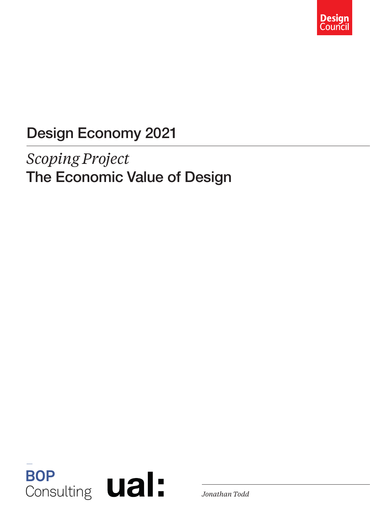

### Design Economy 2021

### *Scoping Project* The Economic Value of Design

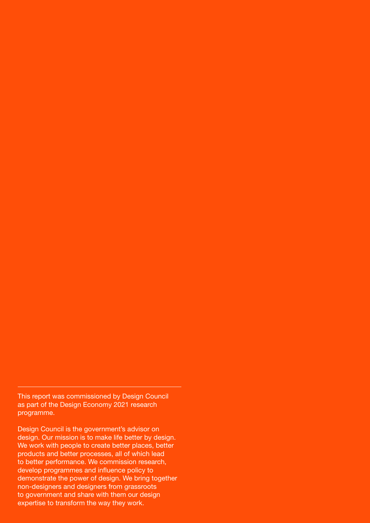This report was commissioned by Design Council as part of the Design Economy 2021 research programme.

Design Council is the government's advisor on design. Our mission is to make life better by design. We work with people to create better places, better products and better processes, all of which lead to better performance. We commission research, develop programmes and influence policy to demonstrate the power of design. We bring together non-designers and designers from grassroots to government and share with them our design expertise to transform the way they work.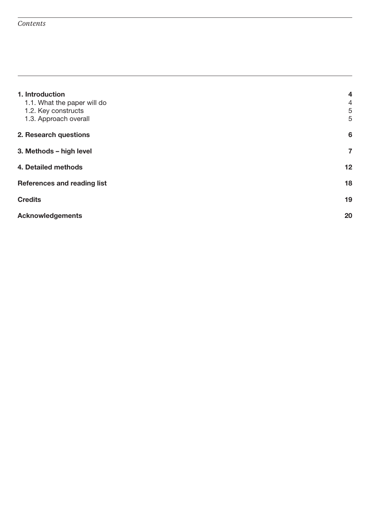| 1. Introduction<br>1.1. What the paper will do<br>1.2. Key constructs<br>1.3. Approach overall | $\overline{\mathbf{4}}$<br>$\overline{4}$<br>5<br>5 |
|------------------------------------------------------------------------------------------------|-----------------------------------------------------|
| 2. Research questions                                                                          | $6\phantom{1}6$                                     |
| 3. Methods - high level                                                                        | $\overline{7}$                                      |
| 4. Detailed methods                                                                            | 12                                                  |
| <b>References and reading list</b>                                                             | 18                                                  |
| <b>Credits</b>                                                                                 | 19                                                  |
| <b>Acknowledgements</b>                                                                        | 20                                                  |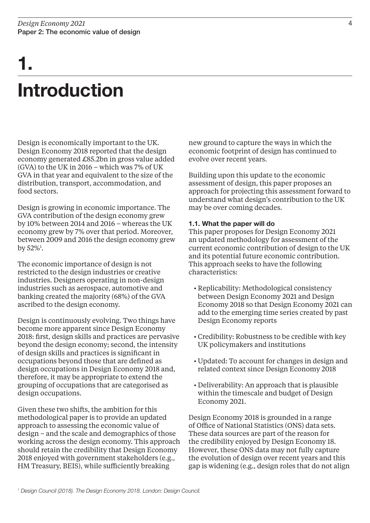# Introduction 1.

Design is economically important to the UK. Design Economy 2018 reported that the design economy generated £85.2bn in gross value added (GVA) to the UK in 2016 – which was 7% of UK GVA in that year and equivalent to the size of the distribution, transport, accommodation, and food sectors.

Design is growing in economic importance. The GVA contribution of the design economy grew by 10% between 2014 and 2016 – whereas the UK economy grew by 7% over that period. Moreover, between 2009 and 2016 the design economy grew by 52%<sup>1</sup>.

The economic importance of design is not restricted to the design industries or creative industries. Designers operating in non-design industries such as aerospace, automotive and banking created the majority (68%) of the GVA ascribed to the design economy.

Design is continuously evolving. Two things have become more apparent since Design Economy 2018: first, design skills and practices are pervasive beyond the design economy; second, the intensity of design skills and practices is significant in occupations beyond those that are defined as design occupations in Design Economy 2018 and, therefore, it may be appropriate to extend the grouping of occupations that are categorised as design occupations.

Given these two shifts, the ambition for this methodological paper is to provide an updated approach to assessing the economic value of design – and the scale and demographics of those working across the design economy. This approach should retain the credibility that Design Economy 2018 enjoyed with government stakeholders (e.g., HM Treasury, BEIS), while sufficiently breaking

new ground to capture the ways in which the economic footprint of design has continued to evolve over recent years.

Building upon this update to the economic assessment of design, this paper proposes an approach for projecting this assessment forward to understand what design's contribution to the UK may be over coming decades.

#### 1.1. What the paper will do

This paper proposes for Design Economy 2021 an updated methodology for assessment of the current economic contribution of design to the UK and its potential future economic contribution. This approach seeks to have the following characteristics:

- Replicability: Methodological consistency between Design Economy 2021 and Design Economy 2018 so that Design Economy 2021 can add to the emerging time series created by past Design Economy reports
- Credibility: Robustness to be credible with key UK policymakers and institutions
- Updated: To account for changes in design and related context since Design Economy 2018
- Deliverability: An approach that is plausible within the timescale and budget of Design Economy 2021.

Design Economy 2018 is grounded in a range of Office of National Statistics (ONS) data sets. These data sources are part of the reason for the credibility enjoyed by Design Economy 18. However, these ONS data may not fully capture the evolution of design over recent years and this gap is widening (e.g., design roles that do not align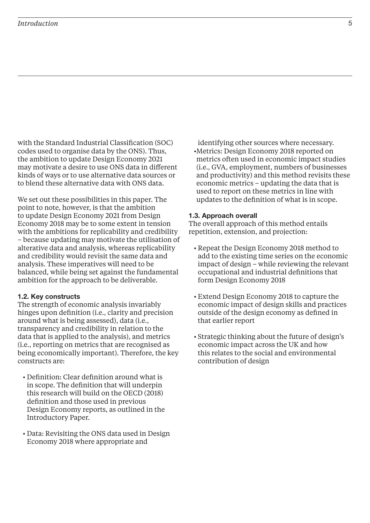#### *Introduction* 5

with the Standard Industrial Classification (SOC) codes used to organise data by the ONS). Thus, the ambition to update Design Economy 2021 may motivate a desire to use ONS data in different kinds of ways or to use alternative data sources or to blend these alternative data with ONS data.

We set out these possibilities in this paper. The point to note, however, is that the ambition to update Design Economy 2021 from Design Economy 2018 may be to some extent in tension with the ambitions for replicability and credibility – because updating may motivate the utilisation of alterative data and analysis, whereas replicability and credibility would revisit the same data and analysis. These imperatives will need to be balanced, while being set against the fundamental ambition for the approach to be deliverable.

#### 1.2. Key constructs

The strength of economic analysis invariably hinges upon definition (i.e., clarity and precision around what is being assessed), data (i.e., transparency and credibility in relation to the data that is applied to the analysis), and metrics (i.e., reporting on metrics that are recognised as being economically important). Therefore, the key constructs are:

- Definition: Clear definition around what is in scope. The definition that will underpin this research will build on the OECD (2018) definition and those used in previous Design Economy reports, as outlined in the Introductory Paper.
- Data: Revisiting the ONS data used in Design Economy 2018 where appropriate and

identifying other sources where necessary. •Metrics: Design Economy 2018 reported on metrics often used in economic impact studies (i.e., GVA, employment, numbers of businesses and productivity) and this method revisits these economic metrics – updating the data that is used to report on these metrics in line with updates to the definition of what is in scope.

#### 1.3. Approach overall

The overall approach of this method entails repetition, extension, and projection:

- Repeat the Design Economy 2018 method to add to the existing time series on the economic impact of design – while reviewing the relevant occupational and industrial definitions that form Design Economy 2018
- Extend Design Economy 2018 to capture the economic impact of design skills and practices outside of the design economy as defined in that earlier report
- Strategic thinking about the future of design's economic impact across the UK and how this relates to the social and environmental contribution of design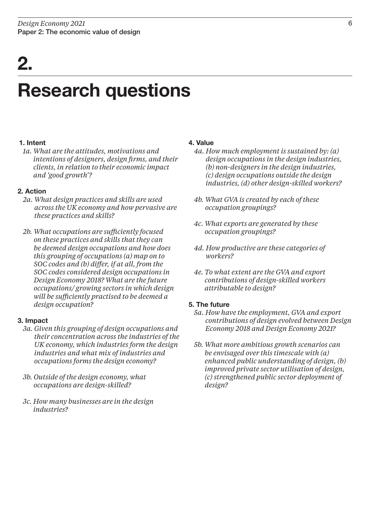# 2.

### Research questions

#### 1. Intent

*1a. What are the attitudes, motivations and intentions of designers, design firms, and their clients, in relation to their economic impact and 'good growth'?*

#### 2. Action

- *2a. What design practices and skills are used across the UK economy and how pervasive are these practices and skills?*
- *2b. What occupations are sufficiently focused on these practices and skills that they can be deemed design occupations and how does this grouping of occupations (a) map on to SOC codes and (b) differ, if at all, from the SOC codes considered design occupations in Design Economy 2018? What are the future occupations/ growing sectors in which design will be sufficiently practised to be deemed a design occupation?*

#### 3. Impact

- *3a. Given this grouping of design occupations and their concentration across the industries of the UK economy, which industries form the design industries and what mix of industries and occupations forms the design economy?*
- *3b. Outside of the design economy, what occupations are design-skilled?*
- *3c. How many businesses are in the design industries?*

#### 4. Value

- *4a. How much employment is sustained by: (a) design occupations in the design industries, (b) non-designers in the design industries, (c) design occupations outside the design industries, (d) other design-skilled workers?*
- *4b. What GVA is created by each of these occupation groupings?*
- *4c. What exports are generated by these occupation groupings?*
- *4d. How productive are these categories of workers?*
- *4e. To what extent are the GVA and export contributions of design-skilled workers attributable to design?*

#### 5. The future

- *5a. How have the employment, GVA and export contributions of design evolved between Design Economy 2018 and Design Economy 2021?*
- *5b. What more ambitious growth scenarios can be envisaged over this timescale with (a) enhanced public understanding of design, (b) improved private sector utilisation of design, (c) strengthened public sector deployment of design?*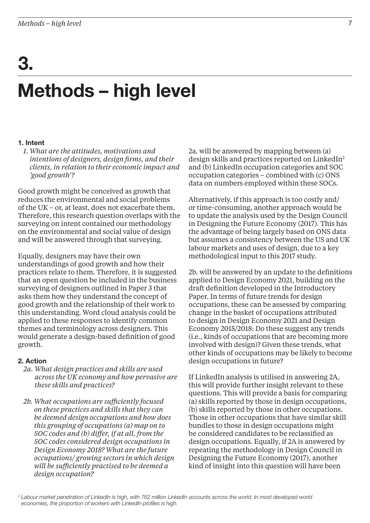# Methods – high level 3.

#### 1. Intent

*1. What are the attitudes, motivations and intentions of designers, design firms, and their clients, in relation to their economic impact and 'good growth'?*

Good growth might be conceived as growth that reduces the environmental and social problems of the UK – or, at least, does not exacerbate them. Therefore, this research question overlaps with the surveying on intent contained our methodology on the environmental and social value of design and will be answered through that surveying.

Equally, designers may have their own understandings of good growth and how their practices relate to them. Therefore, it is suggested that an open question be included in the business surveying of designers outlined in Paper 3 that asks them how they understand the concept of good growth and the relationship of their work to this understanding. Word cloud analysis could be applied to these responses to identify common themes and terminology across designers. This would generate a design-based definition of good growth.

#### 2. Action

- *2a. What design practices and skills are used across the UK economy and how pervasive are these skills and practices?*
- *2b. What occupations are sufficiently focused on these practices and skills that they can be deemed design occupations and how does this grouping of occupations (a) map on to SOC codes and (b) differ, if at all, from the SOC codes considered design occupations in Design Economy 2018? What are the future occupations/ growing sectors in which design will be sufficiently practised to be deemed a design occupation?*

2a. will be answered by mapping between (a) design skills and practices reported on LinkedIn2 and (b) LinkedIn occupation categories and SOC occupation categories – combined with (c) ONS data on numbers employed within these SOCs.

Alternatively, if this approach is too costly and/ or time-consuming, another approach would be to update the analysis used by the Design Council in Designing the Future Economy (2017). This has the advantage of being largely based on ONS data but assumes a consistency between the US and UK labour markets and uses of design, due to a key methodological input to this 2017 study.

2b. will be answered by an update to the definitions applied to Design Economy 2021, building on the draft definition developed in the Introductory Paper. In terms of future trends for design occupations, these can be assessed by comparing change in the basket of occupations attributed to design in Design Economy 2021 and Design Economy 2015/2018: Do these suggest any trends (i.e., kinds of occupations that are becoming more involved with design)? Given these trends, what other kinds of occupations may be likely to become design occupations in future?

If LinkedIn analysis is utilised in answering 2A, this will provide further insight relevant to these questions. This will provide a basis for comparing (a) skills reported by those in design occupations, (b) skills reported by those in other occupations. Those in other occupations that have similar skill bundles to those in design occupations might be considered candidates to be reclassified as design occupations. Equally, if 2A is answered by repeating the methodology in Design Council in Designing the Future Economy (2017), another kind of insight into this question will have been

<sup>&</sup>lt;sup>2</sup> Labour market penetration of LinkedIn is high, with 762 million LinkedIn accounts across the world. In most developed world economies, the proportion of workers with LinkedIn profiles is high.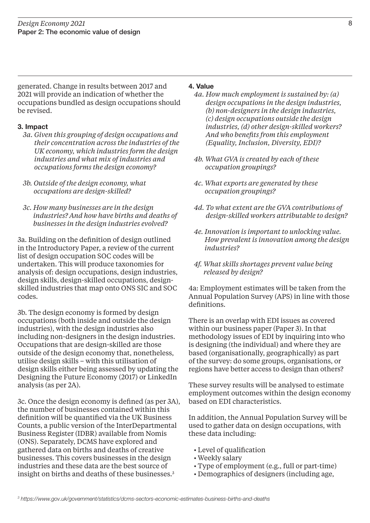generated. Change in results between 2017 and 2021 will provide an indication of whether the occupations bundled as design occupations should be revised.

#### 3. Impact

- *3a. Given this grouping of design occupations and their concentration across the industries of the UK economy, which industries form the design industries and what mix of industries and occupations forms the design economy?*
- *3b. Outside of the design economy, what occupations are design-skilled?*
- *3c. How many businesses are in the design industries? And how have births and deaths of businesses in the design industries evolved?*

3a. Building on the definition of design outlined in the Introductory Paper, a review of the current list of design occupation SOC codes will be undertaken. This will produce taxonomies for analysis of: design occupations, design industries, design skills, design-skilled occupations, designskilled industries that map onto ONS SIC and SOC codes.

3b. The design economy is formed by design occupations (both inside and outside the design industries), with the design industries also including non-designers in the design industries. Occupations that are design-skilled are those outside of the design economy that, nonetheless, utilise design skills – with this utilisation of design skills either being assessed by updating the Designing the Future Economy (2017) or LinkedIn analysis (as per 2A).

3c. Once the design economy is defined (as per 3A), the number of businesses contained within this definition will be quantified via the UK Business Counts, a public version of the InterDepartmental Business Register (IDBR) available from Nomis (ONS). Separately, DCMS have explored and gathered data on births and deaths of creative businesses. This covers businesses in the design industries and these data are the best source of insight on births and deaths of these businesses.<sup>3</sup>

#### 4. Value

- *4a. How much employment is sustained by: (a) design occupations in the design industries, (b) non-designers in the design industries, (c) design occupations outside the design industries, (d) other design-skilled workers? And who benefits from this employment (Equality, Inclusion, Diversity, EDI)?*
- *4b. What GVA is created by each of these occupation groupings?*
- *4c. What exports are generated by these occupation groupings?*
- *4d. To what extent are the GVA contributions of design-skilled workers attributable to design?*
- *4e. Innovation is important to unlocking value. How prevalent is innovation among the design industries?*
- *4f. What skills shortages prevent value being released by design?*

4a: Employment estimates will be taken from the Annual Population Survey (APS) in line with those definitions.

There is an overlap with EDI issues as covered within our business paper (Paper 3). In that methodology issues of EDI by inquiring into who is designing (the individual) and where they are based (organisationally, geographically) as part of the survey: do some groups, organisations, or regions have better access to design than others?

These survey results will be analysed to estimate employment outcomes within the design economy based on EDI characteristics.

In addition, the Annual Population Survey will be used to gather data on design occupations, with these data including:

- Level of qualification
- Weekly salary
- Type of employment (e.g., full or part-time)
- Demographics of designers (including age,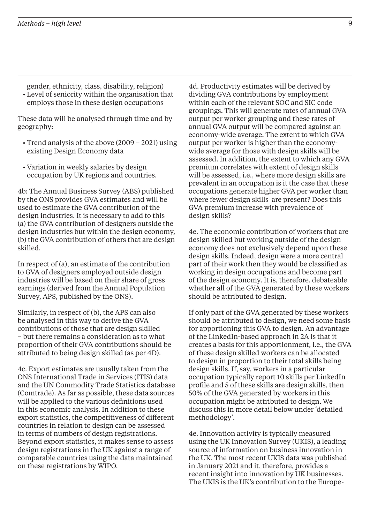gender, ethnicity, class, disability, religion) • Level of seniority within the organisation that employs those in these design occupations

These data will be analysed through time and by geography:

- Trend analysis of the above (2009 2021) using existing Design Economy data
- Variation in weekly salaries by design occupation by UK regions and countries.

4b: The Annual Business Survey (ABS) published by the ONS provides GVA estimates and will be used to estimate the GVA contribution of the design industries. It is necessary to add to this (a) the GVA contribution of designers outside the design industries but within the design economy, (b) the GVA contribution of others that are design skilled.

In respect of (a), an estimate of the contribution to GVA of designers employed outside design industries will be based on their share of gross earnings (derived from the Annual Population Survey, APS, published by the ONS).

Similarly, in respect of (b), the APS can also be analysed in this way to derive the GVA contributions of those that are design skilled – but there remains a consideration as to what proportion of their GVA contributions should be attributed to being design skilled (as per 4D).

4c. Export estimates are usually taken from the ONS International Trade in Services (ITIS) data and the UN Commodity Trade Statistics database (Comtrade). As far as possible, these data sources will be applied to the various definitions used in this economic analysis. In addition to these export statistics, the competitiveness of different countries in relation to design can be assessed in terms of numbers of design registrations. Beyond export statistics, it makes sense to assess design registrations in the UK against a range of comparable countries using the data maintained on these registrations by WIPO.

4d. Productivity estimates will be derived by dividing GVA contributions by employment within each of the relevant SOC and SIC code groupings. This will generate rates of annual GVA output per worker grouping and these rates of annual GVA output will be compared against an economy-wide average. The extent to which GVA output per worker is higher than the economywide average for those with design skills will be assessed. In addition, the extent to which any GVA premium correlates with extent of design skills will be assessed, i.e., where more design skills are prevalent in an occupation is it the case that these occupations generate higher GVA per worker than where fewer design skills are present? Does this GVA premium increase with prevalence of design skills?

4e. The economic contribution of workers that are design skilled but working outside of the design economy does not exclusively depend upon these design skills. Indeed, design were a more central part of their work then they would be classified as working in design occupations and become part of the design economy. It is, therefore, debateable whether all of the GVA generated by these workers should be attributed to design.

If only part of the GVA generated by these workers should be attributed to design, we need some basis for apportioning this GVA to design. An advantage of the LinkedIn-based approach in 2A is that it creates a basis for this apportionment, i.e., the GVA of these design skilled workers can be allocated to design in proportion to their total skills being design skills. If, say, workers in a particular occupation typically report 10 skills per LinkedIn profile and 5 of these skills are design skills, then 50% of the GVA generated by workers in this occupation might be attributed to design. We discuss this in more detail below under 'detailed methodology'.

4e. Innovation activity is typically measured using the UK Innovation Survey (UKIS), a leading source of information on business innovation in the UK. The most recent UKIS data was published in January 2021 and it, therefore, provides a recent insight into innovation by UK businesses. The UKIS is the UK's contribution to the Europe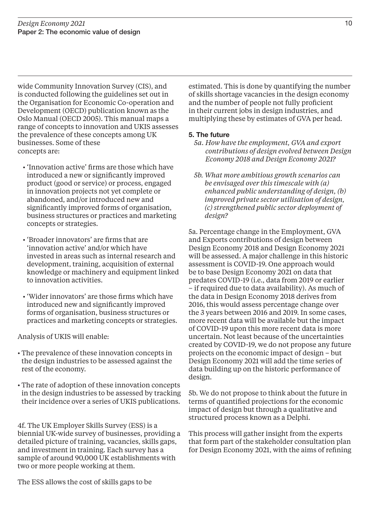wide Community Innovation Survey (CIS), and is conducted following the guidelines set out in the Organisation for Economic Co-operation and Development (OECD) publication known as the Oslo Manual (OECD 2005). This manual maps a range of concepts to innovation and UKIS assesses the prevalence of these concepts among UK businesses. Some of these concepts are:

- 'Innovation active' firms are those which have introduced a new or significantly improved product (good or service) or process, engaged in innovation projects not yet complete or abandoned, and/or introduced new and significantly improved forms of organisation, business structures or practices and marketing concepts or strategies.
- 'Broader innovators' are firms that are 'innovation active' and/or which have invested in areas such as internal research and development, training, acquisition of external knowledge or machinery and equipment linked to innovation activities.
- 'Wider innovators' are those firms which have introduced new and significantly improved forms of organisation, business structures or practices and marketing concepts or strategies.

Analysis of UKIS will enable:

- The prevalence of these innovation concepts in the design industries to be assessed against the rest of the economy.
- The rate of adoption of these innovation concepts in the design industries to be assessed by tracking their incidence over a series of UKIS publications.

4f. The UK Employer Skills Survey (ESS) is a biennial UK-wide survey of businesses, providing a detailed picture of training, vacancies, skills gaps, and investment in training. Each survey has a sample of around 90,000 UK establishments with two or more people working at them.

estimated. This is done by quantifying the number of skills shortage vacancies in the design economy and the number of people not fully proficient in their current jobs in design industries, and multiplying these by estimates of GVA per head*.*

#### 5. The future

- *5a. How have the employment, GVA and export contributions of design evolved between Design Economy 2018 and Design Economy 2021?*
- *5b. What more ambitious growth scenarios can be envisaged over this timescale with (a) enhanced public understanding of design, (b) improved private sector utilisation of design, (c) strengthened public sector deployment of design?*

5a. Percentage change in the Employment, GVA and Exports contributions of design between Design Economy 2018 and Design Economy 2021 will be assessed. A major challenge in this historic assessment is COVID-19. One approach would be to base Design Economy 2021 on data that predates COVID-19 (i.e., data from 2019 or earlier – if required due to data availability). As much of the data in Design Economy 2018 derives from 2016, this would assess percentage change over the 3 years between 2016 and 2019. In some cases, more recent data will be available but the impact of COVID-19 upon this more recent data is more uncertain. Not least because of the uncertainties created by COVID-19, we do not propose any future projects on the economic impact of design – but Design Economy 2021 will add the time series of data building up on the historic performance of design.

5b. We do not propose to think about the future in terms of quantified projections for the economic impact of design but through a qualitative and structured process known as a Delphi.

This process will gather insight from the experts that form part of the stakeholder consultation plan for Design Economy 2021, with the aims of refining

The ESS allows the cost of skills gaps to be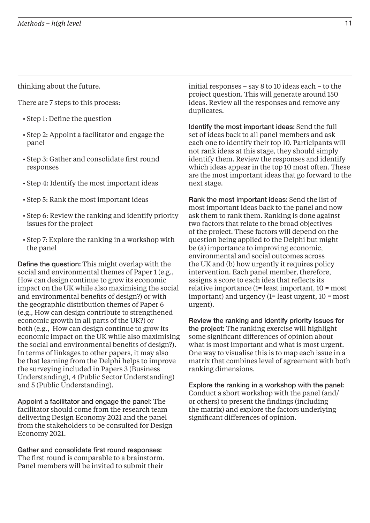thinking about the future.

There are 7 steps to this process:

- Step 1: Define the question
- Step 2: Appoint a facilitator and engage the panel
- Step 3: Gather and consolidate first round responses
- Step 4: Identify the most important ideas
- Step 5: Rank the most important ideas
- Step 6: Review the ranking and identify priority issues for the project
- Step 7: Explore the ranking in a workshop with the panel

Define the question: This might overlap with the social and environmental themes of Paper 1 (e.g., How can design continue to grow its economic impact on the UK while also maximising the social and environmental benefits of design?) or with the geographic distribution themes of Paper 6 (e.g., How can design contribute to strengthened economic growth in all parts of the UK?) or both (e.g., How can design continue to grow its economic impact on the UK while also maximising the social and environmental benefits of design?). In terms of linkages to other papers, it may also be that learning from the Delphi helps to improve the surveying included in Papers 3 (Business Understanding), 4 (Public Sector Understanding) and 5 (Public Understanding).

Appoint a facilitator and engage the panel: The facilitator should come from the research team delivering Design Economy 2021 and the panel from the stakeholders to be consulted for Design Economy 2021.

Gather and consolidate first round responses: The first round is comparable to a brainstorm. Panel members will be invited to submit their

initial responses – say 8 to 10 ideas each – to the project question. This will generate around 150 ideas. Review all the responses and remove any duplicates.

Identify the most important ideas: Send the full set of ideas back to all panel members and ask each one to identify their top 10. Participants will not rank ideas at this stage, they should simply identify them. Review the responses and identify which ideas appear in the top 10 most often. These are the most important ideas that go forward to the next stage.

Rank the most important ideas: Send the list of most important ideas back to the panel and now ask them to rank them. Ranking is done against two factors that relate to the broad objectives of the project. These factors will depend on the question being applied to the Delphi but might be (a) importance to improving economic, environmental and social outcomes across the UK and (b) how urgently it requires policy intervention. Each panel member, therefore, assigns a score to each idea that reflects its relative importance (1= least important, 10 = most important) and urgency (1= least urgent, 10 = most urgent).

Review the ranking and identify priority issues for the project: The ranking exercise will highlight some significant differences of opinion about what is most important and what is most urgent. One way to visualise this is to map each issue in a matrix that combines level of agreement with both ranking dimensions.

Explore the ranking in a workshop with the panel: Conduct a short workshop with the panel (and/ or others) to present the findings (including the matrix) and explore the factors underlying significant differences of opinion.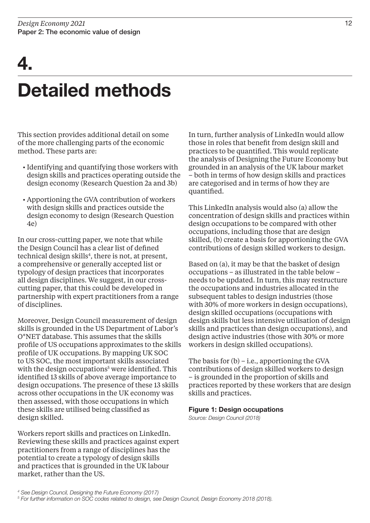# 4.

# Detailed methods

This section provides additional detail on some of the more challenging parts of the economic method. These parts are:

- Identifying and quantifying those workers with design skills and practices operating outside the design economy (Research Question 2a and 3b)
- Apportioning the GVA contribution of workers with design skills and practices outside the design economy to design (Research Question 4e)

In our cross-cutting paper, we note that while the Design Council has a clear list of defined technical design skills<sup>4</sup>, there is not, at present, a comprehensive or generally accepted list or typology of design practices that incorporates all design disciplines. We suggest, in our crosscutting paper, that this could be developed in partnership with expert practitioners from a range of disciplines.

Moreover, Design Council measurement of design skills is grounded in the US Department of Labor's O\*NET database. This assumes that the skills profile of US occupations approximates to the skills profile of UK occupations. By mapping UK SOC to US SOC, the most important skills associated with the design occupations<sup>5</sup> were identified. This identified 13 skills of above average importance to design occupations. The presence of these 13 skills across other occupations in the UK economy was then assessed, with those occupations in which these skills are utilised being classified as design skilled.

Workers report skills and practices on LinkedIn. Reviewing these skills and practices against expert practitioners from a range of disciplines has the potential to create a typology of design skills and practices that is grounded in the UK labour market, rather than the US.

In turn, further analysis of LinkedIn would allow those in roles that benefit from design skill and practices to be quantified. This would replicate the analysis of Designing the Future Economy but grounded in an analysis of the UK labour market – both in terms of how design skills and practices are categorised and in terms of how they are quantified.

This LinkedIn analysis would also (a) allow the concentration of design skills and practices within design occupations to be compared with other occupations, including those that are design skilled, (b) create a basis for apportioning the GVA contributions of design skilled workers to design.

Based on (a), it may be that the basket of design occupations – as illustrated in the table below – needs to be updated. In turn, this may restructure the occupations and industries allocated in the subsequent tables to design industries (those with 30% of more workers in design occupations), design skilled occupations (occupations with design skills but less intensive utilisation of design skills and practices than design occupations), and design active industries (those with 30% or more workers in design skilled occupations).

The basis for  $(b)$  – i.e., apportioning the GVA contributions of design skilled workers to design – is grounded in the proportion of skills and practices reported by these workers that are design skills and practices.

#### Figure 1: Design occupations

Source: Design Council (2018)

<sup>4</sup> See Design Council, Designing the Future Economy (2017) 5 For further information on SOC codes related to design, see Design Council, Design Economy 2018 (2018).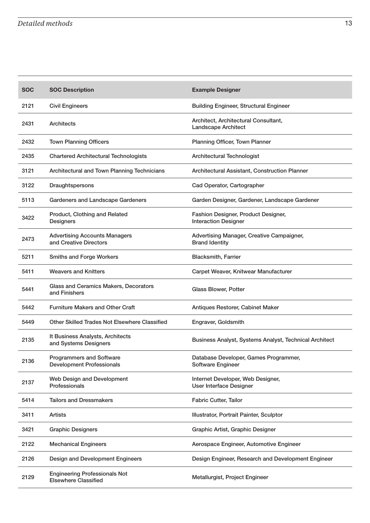| <b>SOC</b> | <b>SOC Description</b>                                              | <b>Example Designer</b>                                             |
|------------|---------------------------------------------------------------------|---------------------------------------------------------------------|
| 2121       | <b>Civil Engineers</b>                                              | <b>Building Engineer, Structural Engineer</b>                       |
| 2431       | <b>Architects</b>                                                   | Architect, Architectural Consultant,<br><b>Landscape Architect</b>  |
| 2432       | <b>Town Planning Officers</b>                                       | Planning Officer, Town Planner                                      |
| 2435       | <b>Chartered Architectural Technologists</b>                        | <b>Architectural Technologist</b>                                   |
| 3121       | Architectural and Town Planning Technicians                         | Architectural Assistant, Construction Planner                       |
| 3122       | Draughtspersons                                                     | Cad Operator, Cartographer                                          |
| 5113       | <b>Gardeners and Landscape Gardeners</b>                            | Garden Designer, Gardener, Landscape Gardener                       |
| 3422       | Product, Clothing and Related<br><b>Designers</b>                   | Fashion Designer, Product Designer,<br><b>Interaction Designer</b>  |
| 2473       | <b>Advertising Accounts Managers</b><br>and Creative Directors      | Advertising Manager, Creative Campaigner,<br><b>Brand Identity</b>  |
| 5211       | <b>Smiths and Forge Workers</b>                                     | <b>Blacksmith, Farrier</b>                                          |
| 5411       | <b>Weavers and Knitters</b>                                         | Carpet Weaver, Knitwear Manufacturer                                |
| 5441       | Glass and Ceramics Makers, Decorators<br>and Finishers              | Glass Blower, Potter                                                |
| 5442       | <b>Furniture Makers and Other Craft</b>                             | Antiques Restorer, Cabinet Maker                                    |
| 5449       | <b>Other Skilled Trades Not Elsewhere Classified</b>                | Engraver, Goldsmith                                                 |
| 2135       | It Business Analysts, Architects<br>and Systems Designers           | Business Analyst, Systems Analyst, Technical Architect              |
| 2136       | <b>Programmers and Software</b><br><b>Development Professionals</b> | Database Developer, Games Programmer,<br>Software Engineer          |
| 2137       | Web Design and Development<br>Professionals                         | Internet Developer, Web Designer,<br><b>User Interface Designer</b> |
| 5414       | <b>Tailors and Dressmakers</b>                                      | Fabric Cutter, Tailor                                               |
| 3411       | Artists                                                             | Illustrator, Portrait Painter, Sculptor                             |
| 3421       | <b>Graphic Designers</b>                                            | Graphic Artist, Graphic Designer                                    |
| 2122       | <b>Mechanical Engineers</b>                                         | Aerospace Engineer, Automotive Engineer                             |
| 2126       | Design and Development Engineers                                    | Design Engineer, Research and Development Engineer                  |
| 2129       | <b>Engineering Professionals Not</b><br><b>Elsewhere Classified</b> | Metallurgist, Project Engineer                                      |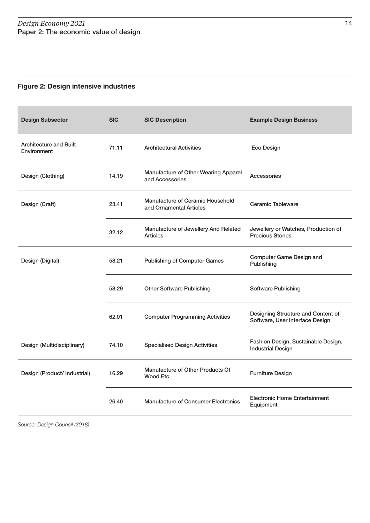#### Figure 2: Design intensive industries

| <b>Design Subsector</b>                      | <b>SIC</b> | <b>SIC Description</b>                                      | <b>Example Design Business</b>                                        |
|----------------------------------------------|------------|-------------------------------------------------------------|-----------------------------------------------------------------------|
| <b>Architecture and Built</b><br>Environment | 71.11      | <b>Architectural Activities</b>                             | Eco Design                                                            |
| Design (Clothing)                            | 14.19      | Manufacture of Other Wearing Apparel<br>and Accessories     | Accessories                                                           |
| Design (Craft)                               | 23.41      | Manufacture of Ceramic Household<br>and Ornamental Articles | Ceramic Tableware                                                     |
|                                              | 32.12      | Manufacture of Jewellery And Related<br>Articles            | Jewellery or Watches, Production of<br><b>Precious Stones</b>         |
| Design (Digital)                             | 58.21      | <b>Publishing of Computer Games</b>                         | <b>Computer Game Design and</b><br>Publishing                         |
|                                              | 58.29      | <b>Other Software Publishing</b>                            | Software Publishing                                                   |
|                                              | 62.01      | <b>Computer Programming Activities</b>                      | Designing Structure and Content of<br>Software, User Interface Design |
| Design (Multidisciplinary)                   | 74.10      | <b>Specialised Design Activities</b>                        | Fashion Design, Sustainable Design,<br><b>Industrial Design</b>       |
| Design (Product/ Industrial)                 | 16.29      | Manufacture of Other Products Of<br><b>Wood Etc</b>         | <b>Furniture Design</b>                                               |
|                                              | 26.40      | <b>Manufacture of Consumer Electronics</b>                  | <b>Electronic Home Entertainment</b><br>Equipment                     |

Source: Design Council (2018)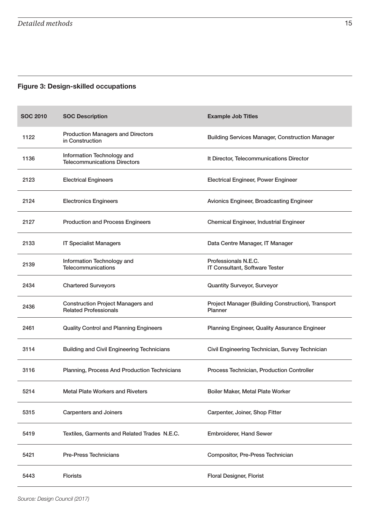#### Figure 3: Design-skilled occupations

| <b>SOC 2010</b> | <b>SOC Description</b>                                                   | <b>Example Job Titles</b>                                     |
|-----------------|--------------------------------------------------------------------------|---------------------------------------------------------------|
| 1122            | <b>Production Managers and Directors</b><br>in Construction              | <b>Building Services Manager, Construction Manager</b>        |
| 1136            | Information Technology and<br><b>Telecommunications Directors</b>        | It Director, Telecommunications Director                      |
| 2123            | <b>Electrical Engineers</b>                                              | <b>Electrical Engineer, Power Engineer</b>                    |
| 2124            | <b>Electronics Engineers</b>                                             | <b>Avionics Engineer, Broadcasting Engineer</b>               |
| 2127            | <b>Production and Process Engineers</b>                                  | <b>Chemical Engineer, Industrial Engineer</b>                 |
| 2133            | <b>IT Specialist Managers</b>                                            | Data Centre Manager, IT Manager                               |
| 2139            | Information Technology and<br>Telecommunications                         | Professionals N.E.C.<br>IT Consultant, Software Tester        |
| 2434            | <b>Chartered Surveyors</b>                                               | <b>Quantity Surveyor, Surveyor</b>                            |
| 2436            | <b>Construction Project Managers and</b><br><b>Related Professionals</b> | Project Manager (Building Construction), Transport<br>Planner |
| 2461            | <b>Quality Control and Planning Engineers</b>                            | Planning Engineer, Quality Assurance Engineer                 |
| 3114            | <b>Building and Civil Engineering Technicians</b>                        | Civil Engineering Technician, Survey Technician               |
| 3116            | Planning, Process And Production Technicians                             | Process Technician, Production Controller                     |
| 5214            | <b>Metal Plate Workers and Riveters</b>                                  | Boiler Maker, Metal Plate Worker                              |
| 5315            | <b>Carpenters and Joiners</b>                                            | Carpenter, Joiner, Shop Fitter                                |
| 5419            | Textiles, Garments and Related Trades N.E.C.                             | <b>Embroiderer, Hand Sewer</b>                                |
| 5421            | <b>Pre-Press Technicians</b>                                             | Compositor, Pre-Press Technician                              |
| 5443            | Florists                                                                 | <b>Floral Designer, Florist</b>                               |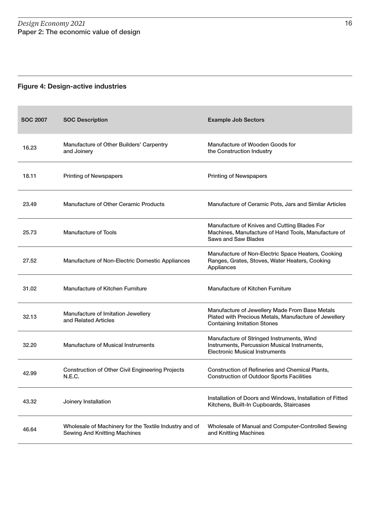#### Figure 4: Design-active industries

| <b>SOC 2007</b> | <b>SOC Description</b>                                                                        | <b>Example Job Sectors</b>                                                                                                                    |
|-----------------|-----------------------------------------------------------------------------------------------|-----------------------------------------------------------------------------------------------------------------------------------------------|
| 16.23           | Manufacture of Other Builders' Carpentry<br>and Joinery                                       | Manufacture of Wooden Goods for<br>the Construction Industry                                                                                  |
| 18.11           | <b>Printing of Newspapers</b>                                                                 | <b>Printing of Newspapers</b>                                                                                                                 |
| 23.49           | <b>Manufacture of Other Ceramic Products</b>                                                  | Manufacture of Ceramic Pots, Jars and Similar Articles                                                                                        |
| 25.73           | <b>Manufacture of Tools</b>                                                                   | Manufacture of Knives and Cutting Blades For<br>Machines, Manufacture of Hand Tools, Manufacture of<br><b>Saws and Saw Blades</b>             |
| 27.52           | Manufacture of Non-Electric Domestic Appliances                                               | Manufacture of Non-Electric Space Heaters, Cooking<br>Ranges, Grates, Stoves, Water Heaters, Cooking<br>Appliances                            |
| 31.02           | Manufacture of Kitchen Furniture                                                              | Manufacture of Kitchen Furniture                                                                                                              |
| 32.13           | Manufacture of Imitation Jewellery<br>and Related Articles                                    | Manufacture of Jewellery Made From Base Metals<br>Plated with Precious Metals, Manufacture of Jewellery<br><b>Containing Imitation Stones</b> |
| 32.20           | <b>Manufacture of Musical Instruments</b>                                                     | Manufacture of Stringed Instruments, Wind<br>Instruments, Percussion Musical Instruments,<br><b>Electronic Musical Instruments</b>            |
| 42.99           | <b>Construction of Other Civil Engineering Projects</b><br><b>N.E.C.</b>                      | <b>Construction of Refineries and Chemical Plants,</b><br><b>Construction of Outdoor Sports Facilities</b>                                    |
| 43.32           | Joinery Installation                                                                          | Installation of Doors and Windows, Installation of Fitted<br>Kitchens, Built-In Cupboards, Staircases                                         |
| 46.64           | Wholesale of Machinery for the Textile Industry and of<br><b>Sewing And Knitting Machines</b> | Wholesale of Manual and Computer-Controlled Sewing<br>and Knitting Machines                                                                   |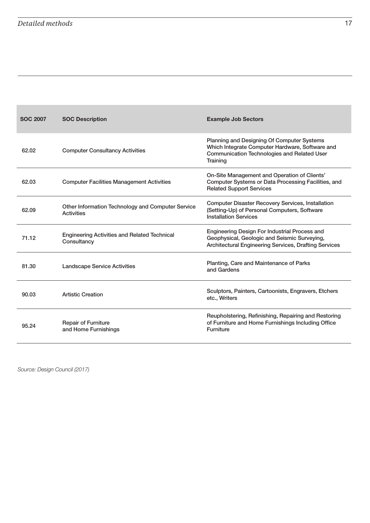| <b>SOC 2007</b> | <b>SOC Description</b>                                                 | <b>Example Job Sectors</b>                                                                                                                                             |
|-----------------|------------------------------------------------------------------------|------------------------------------------------------------------------------------------------------------------------------------------------------------------------|
| 62.02           | <b>Computer Consultancy Activities</b>                                 | <b>Planning and Designing Of Computer Systems</b><br>Which Integrate Computer Hardware, Software and<br><b>Communication Technologies and Related User</b><br>Training |
| 62.03           | <b>Computer Facilities Management Activities</b>                       | On-Site Management and Operation of Clients'<br>Computer Systems or Data Processing Facilities, and<br><b>Related Support Services</b>                                 |
| 62.09           | Other Information Technology and Computer Service<br><b>Activities</b> | <b>Computer Disaster Recovery Services, Installation</b><br>(Setting-Up) of Personal Computers, Software<br><b>Installation Services</b>                               |
| 71.12           | <b>Engineering Activities and Related Technical</b><br>Consultancy     | Engineering Design For Industrial Process and<br>Geophysical, Geologic and Seismic Surveying,<br>Architectural Engineering Services, Drafting Services                 |
| 81.30           | <b>Landscape Service Activities</b>                                    | Planting, Care and Maintenance of Parks<br>and Gardens                                                                                                                 |
| 90.03           | <b>Artistic Creation</b>                                               | Sculptors, Painters, Cartoonists, Engravers, Etchers<br>etc., Writers                                                                                                  |
| 95.24           | <b>Repair of Furniture</b><br>and Home Furnishings                     | Reupholstering, Refinishing, Repairing and Restoring<br>of Furniture and Home Furnishings Including Office<br><b>Furniture</b>                                         |

Source: Design Council (2017)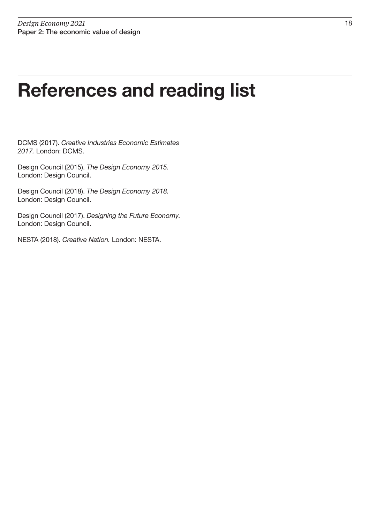### References and reading list

DCMS (2017). Creative Industries Economic Estimates 2017. London: DCMS.

Design Council (2015). The Design Economy 2015. London: Design Council.

Design Council (2018). The Design Economy 2018. London: Design Council.

Design Council (2017). Designing the Future Economy. London: Design Council.

NESTA (2018). Creative Nation. London: NESTA.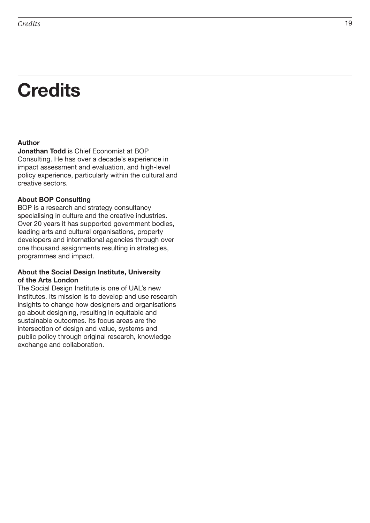## **Credits**

#### Author

Jonathan Todd is Chief Economist at BOP Consulting. He has over a decade's experience in impact assessment and evaluation, and high-level policy experience, particularly within the cultural and creative sectors.

#### About BOP Consulting

BOP is a research and strategy consultancy specialising in culture and the creative industries. Over 20 years it has supported government bodies, leading arts and cultural organisations, property developers and international agencies through over one thousand assignments resulting in strategies, programmes and impact.

#### About the Social Design Institute, University of the Arts London

The Social Design Institute is one of UAL's new institutes. Its mission is to develop and use research insights to change how designers and organisations go about designing, resulting in equitable and sustainable outcomes. Its focus areas are the intersection of design and value, systems and public policy through original research, knowledge exchange and collaboration.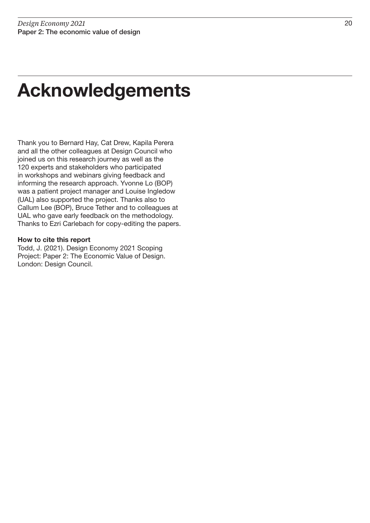## Acknowledgements

Thank you to Bernard Hay, Cat Drew, Kapila Perera and all the other colleagues at Design Council who joined us on this research journey as well as the 120 experts and stakeholders who participated in workshops and webinars giving feedback and informing the research approach. Yvonne Lo (BOP) was a patient project manager and Louise Ingledow (UAL) also supported the project. Thanks also to Callum Lee (BOP), Bruce Tether and to colleagues at UAL who gave early feedback on the methodology. Thanks to Ezri Carlebach for copy-editing the papers.

#### How to cite this report

Todd, J. (2021). Design Economy 2021 Scoping Project: Paper 2: The Economic Value of Design. London: Design Council.